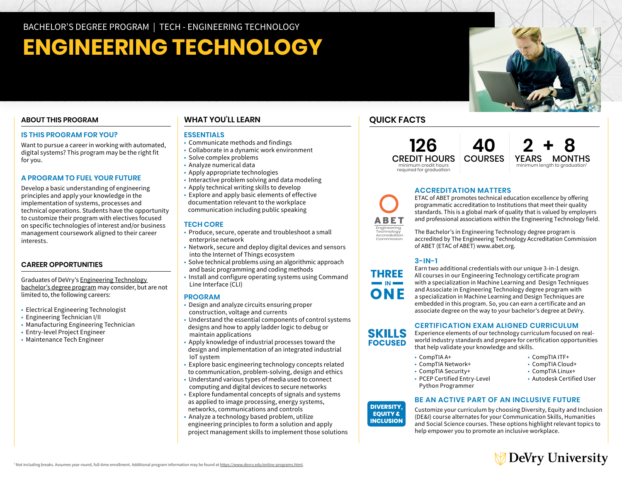# **ENGINEERING TECHNOLOGY**

#### **ABOUT THIS PROGRAM**

#### **IS THIS PROGRAM FOR YOU?**

Want to pursue a career in working with automated, digital systems? This program may be the right fit for you.

#### **A PROGRAM TO FUEL YOUR FUTURE**

Develop a basic understanding of engineering principles and apply your knowledge in the implementation of systems, processes and technical operations. Students have the opportunity to customize their program with electives focused on specific technologies of interest and/or business management coursework aligned to their career interests.

#### **CAREER OPPORTUNITIES**

Graduates of DeVry's [Engineering Technology](http://www.devry.edu/bachelors-degrees/engineering-technology.html)  [bachelor's degree program](http://www.devry.edu/bachelors-degrees/engineering-technology.html) may consider, but are not limited to, the following careers:

- Electrical Engineering Technologist
- Engineering Technician I/II
- Manufacturing Engineering Technician
- Entry-level Project Engineer
- Maintenance Tech Engineer

#### **WHAT YOU'LL LEARN**

#### **ESSENTIALS**

- Communicate methods and findings
- Collaborate in a dynamic work environment
- Solve complex problems
- Analyze numerical data
- Apply appropriate technologies
- Interactive problem solving and data modeling
- Apply technical writing skills to develop
- Explore and apply basic elements of effective documentation relevant to the workplace communication including public speaking

#### **TECH CORE**

- Produce, secure, operate and troubleshoot a small enterprise network
- Network, secure and deploy digital devices and sensors into the Internet of Things ecosystem
- Solve technical problems using an algorithmic approach and basic programming and coding methods
- Install and configure operating systems using Command Line Interface (CLI)

#### **PROGRAM**

- Design and analyze circuits ensuring proper construction, voltage and currents
- Understand the essential components of control systems designs and how to apply ladder logic to debug or maintain applications
- Apply knowledge of industrial processes toward the design and implementation of an integrated industrial IoT system
- Explore basic engineering technology concepts related to communication, problem-solving, design and ethics
- Understand various types of media used to connect computing and digital devices to secure networks
- Explore fundamental concepts of signals and systems as applied to image processing, energy systems, networks, communications and controls
- Analyze a technology based problem, utilize engineering principles to form a solution and apply project management skills to implement those solutions

### **QUICK FACTS**

Engineering Technology Accrediation Commission

ABET

**126** CREDIT HOURS minimum credit hours required for graduation



#### **ACCREDITATION MATTERS**

ETAC of ABET promotes technical education excellence by offering programmatic accreditation to Institutions that meet their quality standards. This is a global mark of quality that is valued by employers and professional associations within the Engineering Technology field.

The Bachelor's in Engineering Technology degree program is accredited by The Engineering Technology Accreditation Commission of ABET (ETAC of ABET) www.abet.org.

#### **3-IN-1**

Earn two additional credentials with our unique 3-in-1 design. All courses in our Engineering Technology certificate program with a specialization in Machine Learning and Design Techniques and Associate in Engineering Technology degree program with a specialization in Machine Learning and Design Techniques are embedded in this program. So, you can earn a certificate and an associate degree on the way to your bachelor's degree at DeVry.

#### **CERTIFICATION EXAM ALIGNED CURRICULUM**

Experience elements of our technology curriculum focused on realworld industry standards and prepare for certification opportunities that help validate your knowledge and skills.

• CompTIA A+ • CompTIA ITF+

**DIVERSITY, EQUITY & INCLUSION**

**SKILLS FOCUSED** 

- 
- CompTIA Security+<br>• CompTIA Security+<br>• CompTIA Linux+
- PCEP Certified Entry-Level Autodesk Certified User **EQUITY &** Python Programmer

- CompTIA Network+ CompTIA Cloud+
	-
	-
- **BE AN ACTIVE PART OF AN INCLUSIVE FUTURE**

Customize your curriculum by choosing Diversity, Equity and Inclusion (DE&I) course alternates for your Communication Skills, Humanities and Social Science courses. These options highlight relevant topics to help empower you to promote an inclusive workplace.